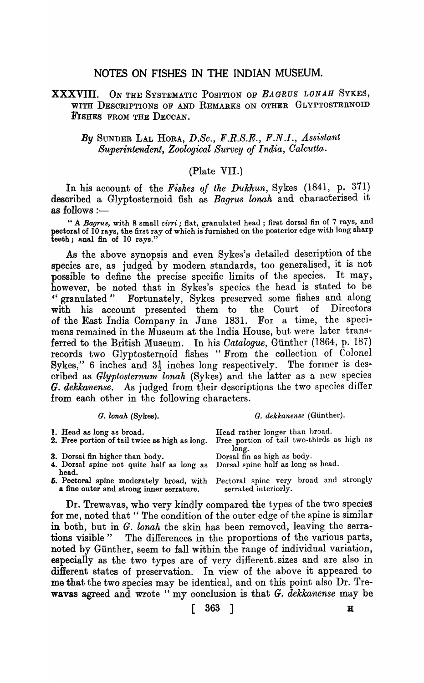## NOTES ON FISHES IN THE INDIAN MUSEUM.

#### XXXVIII. ON THE SYSTEMATIC POSITION OF *BAGRUS LONAH* SYKES, WITH DESCRIPTIONS OF AND REMARKS ON OTHER GLYPTOSTERNOID FISHES FROM THE DECCAN.

#### *By* SUNDER LAL HORA, *D.Sc., F.R.S.E., F.N.I., Assistant Superintendent, Zoological Survey of India, Calcutta.*

#### (Plate VII.)

In his account of the *Fishes of the Dukhun,* Sykes (1841, p. 371) described a Glyptosternoid fish as *Bagrus lonah* and characterised it as follows :-

" A *Bagrua,* with 8 small *cirri;* flat, granulated head; first dorsal fin of 7 rays, and pectoral of 10 rays, the first ray of which is furnished on the posterior edge with long sharp teeth; anal fin of 10 rays."

As the above synopsis and even Sykes's detailed description of the species are, as judged by modern standards, too generalised, it is not possible to define the precise specific limits of the species. It may, however, be noted that in Sykes's species the head is stated to be " granulated " Fortunately, Sykes preserved some fishes and along with his account presented them to the Court of Directors of the East India Company in June 1831. For a time, the speciof the East India Company in June 1831. mens remained in the Museum at the India House, but were later transferred to the British Museum. In his *Catalogue*, Günther (1864, p. 187) records two Glyptosternoid fishes "From the collection of Colonel Sykes," 6 inches and  $3\frac{1}{2}$  inches long respectively. The former is described as *Glyptosternum, lonah* (Sykes) and the latter as a new species *G. dekkanense.* As judged from their descriptions the two species differ from each other in the following characters.

#### *G. lonah* (Sykes). *G. dekkanense* (Günther).

| 1. Head as long as broad.<br>2. Free portion of tail twice as high as long.  | Head rather longer than broad.<br>Free portion of tail two-thirds as high as    |
|------------------------------------------------------------------------------|---------------------------------------------------------------------------------|
|                                                                              | long.                                                                           |
| 3. Dorsai fin higher than body.                                              | Dorsal fin as high as body.                                                     |
| 4. Dorsal spine not quite half as long as Dorsal spine half as long as head. |                                                                                 |
| head.                                                                        |                                                                                 |
|                                                                              | 5. Pectoral spine moderately broad, with Pectoral spine very broad and strongly |
| a fine outer and strong inner serrature.                                     | serrated interiorly.                                                            |
|                                                                              |                                                                                 |

Dr. Trewavas, who very kindly compared the types of the two species for me, noted that "The condition of the outer edge of the spine is similar in both, but in *G. lonah* the skin has been removed, leaving the serrations visible" The differences in the proportions of the various parts, noted by Günther, seem to fall within the range of individual variation, especially as the two types are of very different. sizes and are also in different states of preservation. In view of the above it appeared to me that the two species may be identical, and on this point also Dr. Trewavas agreed and wrote" my conclusion is that *G. dekkanense* may be

 $[ 363 ]$  H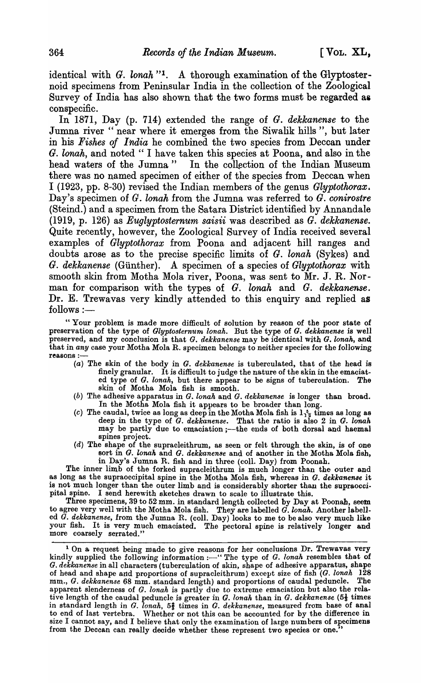identical with *G. lonah* "<sup>1</sup>. A thorough examination of the Glyptosternoid specimens from Peninsular India in the collection of the Zoological Survey of India has also shown that the two forms must be regarded as conspecific.

In 1871, Day (p. 714) extended the range of G. *dekkanense* to the Jumna river " near where it emerges from the Siwalik hills ", but later in his *Fishes of India* he combined the two species from Deccan under G. lonah, and noted "I have taken this species at Poona, and also in the head waters of the Jumna" In the collection of the Indian Museum there was no named specimen of either of the species from Deccan when I (1923, pp. 8-30) revised the Indian members of the genus *Glyptothorax.*  Day's specimen of *G. lonah* from the Jumna was referred to *G. conirostre* (Steind.) and a specimen from the Satara District identified by Annandale (1919, p. 126) as *Euglyptosternum saisii* was described as *G. dekkanense.*  Quite recently, however, the Zoological Survey of India received several examples of *Glyptothorax* from Poona and adjacent hill ranges and doubts arose as to the precise specific limits of G. *lonah* (Sykes) and *G. dekkanense* (Gunther). A specimen of a species of *Glyptothorax* with smooth skin from Motha Mola river, Poona, was sent to Mr. J. R. Norman for comparison with the types of *G. lonah* and *G. dekkanense.*  Dr. E. Trewavas very kindly attended to this enquiry and replied as  $follows :=$ 

"Your problem is made more difficult of solution by reason of the poor state of preservation of the type of *Glyptosternum, lonah.* But the type of *G. dekkanense* is well preserved, and my conclusion is that G. dekkanense may be identical with G. lonah, and that in *any* case your Motha Mola R. specimen belongs to neither species for the following reasons :-

- (a) The skin of the body in G. *dekkanense* is tuberculated, that of the head is finely granular. It is difficult to judge the nature of the skin in the emaciated type of G. *lonah,* but there appear to be signs of tuberculation. The skin of Motha Mola fish is smooth.
- (b) The adhesive apparatus in *G. lonah* and G. *dekkanense* is longer than broad. In the Motha Mola fish it appears to be broader than long.
- (c) The caudal, twice as long as deep in the Motha Mola fish is  $1_{12}^{5}$  times as long as deep in the type of *G. dekkanense*. That the ratio is also 2 in *G. lonah* may be partly due to emaciation ;- the ends of both dorsal and haemal spines project.
- (d) The shape of the supracleithrum, as seen or felt through the skin, is of one sort in G. *lonah* and G. *dekkanense* and of another in the Motha Mola fish, in Day's Jumna R. fish and in three (colI. Day) from Poonah.

The inner limb of the forked supracleithrum is much longer than the outer and as long as the supraoccipital spine in the Motha Mola fish, whereas in G. *dekkanenae* it is not much longer than the outer limb and is considerably shorter than the supraoccipital spine. I send herewith sketches drawn to scale to illustrate this.

Three specimens, 39 to 52 mm. in standard length collected by Day at Poonah, seem to agree very well with the Motha Mola fish. They are labelled *G. lonah.* Another labelled G. *dekkanense,* from the Jumna R. (colI. Day) looks to me to be also very much like your fish. It is very much emaciated. The pectoral spine is relatively longer and more coarsely serrated."

<sup>&</sup>lt;sup>1</sup> On a request being made to give reasons for her conclusions Dr. Trewavas very kindly supplied the following information :---" The type of G. *lonah* resembles that of G. *dekkanense* in all characters (tuberculation of skin, shape of adhesive apparatus, shape of head and shape and proportions of supracleithrum) except size of fish (G. *lonah 128*  mm., *G. dekkanense* 68 mm. standard length) and proportions of caudal peduncle. The apparent slenderness of *G. lonah* is partly due to extreme emaciation but also the relative length of the caudal peduncle is greater in  $G$ . *lonah* than in  $G$ . dekkanense (5<sup>1</sup>/<sub>3</sub> times in standard length in *G. lonah*, 5<sup>2</sup>/<sub>3</sub> times in *G. dekkanense*, measured from base of anal to end of last vertebra. Whether or not this can be accounted for by the difference in size I cannot say, and I believe that only the examination of large numbers of specimens from the Deccan can really decide whether these represent two species or one.<sup>7</sup>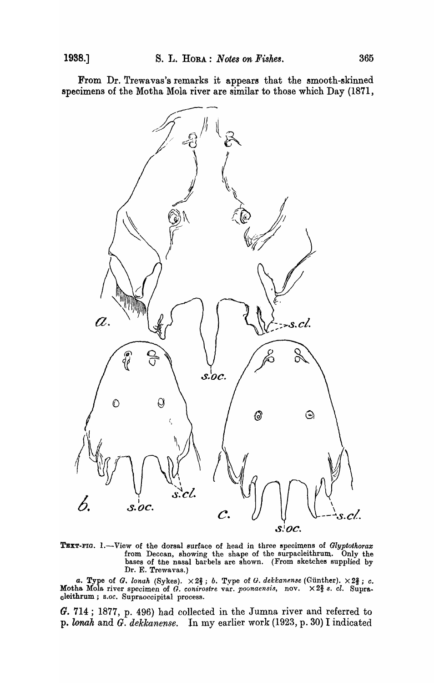From Dr. Trewavas's remarks it appears that the smooth-skinned specimens of the Motha Mola river are similar to those which Day (1871,



TEXT-FIG. 1.-View of the dorsal surface of head in three specimens of *Glyptothorax* from Deccan, showing the shape of the surpacleithrum.. Only the bases of the nasal barbels are shown. (From sketches supplied by Dr. E. Trewavas.)

*a.* Type of G. *lonah* (Sykes).  $\times 2\frac{2}{3}$ ; *b.* Type of G. *dekkanense* (Günther).  $\times 2\frac{2}{3}$ ; *c.* Motha Mola river specimen of *G. conirostre var. poonaensis*, nov. × 2<sup>2</sup>/<sub>3</sub> s. *cl.* Supracleithrum; *S.oc.* Supraoccipital process.

G. 714; 1877, p. 496) had collected in the Jumna river and referred to p. *lonak* and *G. dekkanense.* In my earlier work (1923, p. 30) I indicated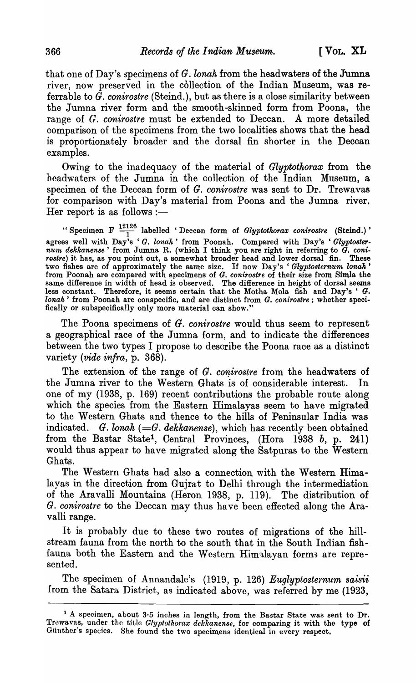that one of Day's specimens of *G. lonah* from the headwaters of the Jumna river, now preserved in the collection of the Indian Museum, was referrable to  $\tilde{G}$ . conirostre (Steind.), but as there is a close similarity between the Jumna river form and the smooth-skinned form from Poona, the range of *G. conirostre* must be extended to Deccan. A more detailed comparison of the specimens from the two localities shows that the head is proportionately broader and the dorsal fin shorter in the Deccan examples.

Owing to the inadequacy of the material of *Glyptothorax* from the headwaters of the Jumna in the collection of the Indian Museum, a specimen of the Deccan form of *G. conirostre* was sent to Dr. Trewavas for comparison with Day's material from Poona and the Jumna river. Her report is as follows :-

"Specimen F  $\frac{12126}{1}$  labelled 'Deccan form of *Glyptothorax conirostre* (Steind.)' agrees well with Day's 'G. lonah' from Poonah. Compared with Day's 'Glyptoster*nu'nt dekkanense'* from Jumna R. (which I think you are right in referring to *G. coni*rostre) it has, as you point out, a somewhat broader head and lower dorsal fin. These two fishes are of approximately the same size. If now Day's ' Glyptosternum lonah' from Poonah are compared with specimens of *G. conirostre* of their size from Simla the same difference in width of head is observed. The difference in height of dorsal seems less constant. Therefore, it seems certain that the Motha Mola fish and Day's ' G. *lonah*' from Poonah are conspecific, and are distinct from *G. conirostre*; whether specifically or subspecifically only more material can show."

The Poona specimens of *G. conirostre* would thus seem to represent a geographical race of the Jumna form, and to indicate the differences between the two types I propose to describe the Poona race as a distinct variety *(vide infra,* p. 368).

The extension of the range of *G. conirostre* from the headwaters of the Jumna river to the Western Ghats is of considerable interest. In one of my (1938, p. 169) recent contributions the probable route along which the species from the Eastern Himalayas seem to have migrated to the Western Ghats and thence to the hills of Peninsular India was indicated. *G. lonah* (=*G. dekkanense*), which has recently been obtained from the Bastar State<sup>1</sup>, Central Provinces, (Hora 1938 b, p. 241) would thus appear to have migrated along the Satpuras to the Western Ghats.

The Western Ghats had also a connection with the Western Himalayas in the direction from Gujrat to Delhi through the intermediation of the Aravalli Mountains (Heron 1938, p. 119). The distribution of *G. conirostre* to the Deccan may thus have been effected along the Aravalli range.

It is probably due to these two routes of migrations of the hillstream fauna from the north to the south that in the South Indian fishfauna both the Eastern and the Western Himalayan forms are represented.

The specimen of Annandale's (1919, p. 126) *Euglyptosternum saisii*  from the Satara District, as indicated above, was referred by me (1923,

<sup>&</sup>lt;sup>1</sup> A specimen, about 3.5 inches in length, from the Bastar State was sent to Dr. Trewavas, under tho title *Glyptothorax dekkanense,* for comparing it with the type of Günther's species. She found the two specimens identical in every respect.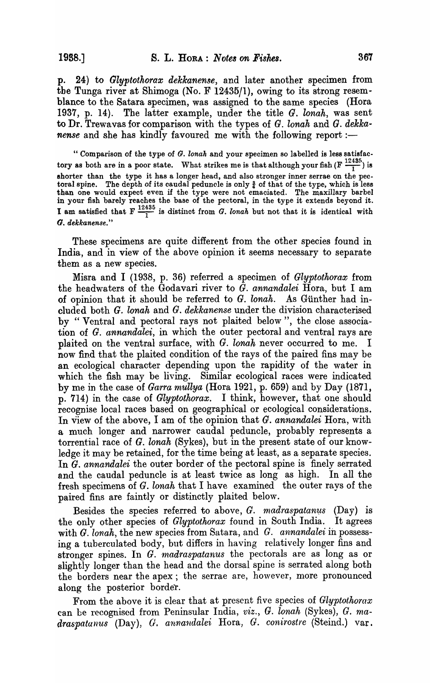p. 24) to *Glyptothorax dekkanense,* and later another specimen from the Tunga river at Shimoga (No. F 12435/1), owing to its strong resemblance to the Satara specimen, was assigned to the same species (Hora 1937, p. 14). The latter example, under the title *G. lonah,* was sent to Dr. Trewavas for comparison with the types of G. *lonah* and G. *dekkanense* and she has kindly favoured me with the following report :-

" Comparison of the type of *G. lonah* and your specimen so labelled is less satisfactory as both are in a poor state. What strikes me is that although your fish  $(F \frac{12435}{1})$  is shorter than the type it has a longer head, and also stronger inner serrae on the pectoral spine. The depth of its caudal peduncle is only  $\frac{3}{4}$  of that of the type, which is less than one would expect even if the type were not emaciated. The maxillary barbel in your fish barely reaches the base of the pectoral, in the type it extends beyond it. I am satisfied that  $F \frac{12435}{1}$  is distinct from G. *lonah* but not that it is identical with G. *dekkanense."* 

These specimens are quite different from the other species found in India, and in view of the above opinion it seems necessary to separate them as a new species.

Misra and I (1938, p. 36) referred a specimen of *Glyptothorax* from the headwaters of the Godavari river to *G. annandalei* Hora, but I am of opinion that it should be referred to *G. lonah.* As Gunther had included both G. *lonah* and *G. dekkanense* under the division characterised by " Ventral and pectoral rays not plaited below", the close association of G. *annandalei,* in which the outer pectoral and ventral rays are plaited on the ventral surface, with G. *lonah* never occurred to me. I now find that the plaited condition of the rays of the paired fins may be an ecological character depending upon the rapidity of the water in which the fish may be living. Similar ecological races were indicated by me in the case of *Garra mullya* (Hora 1921, p. 659) and by Day (1871, p. 714) in the case of *Glyptothorax.* I think, however, that one should recognise local races based on geographical or ecological considerations. In view of the above, I am of the opinion that *G. annandalei* Hora, with a much longer and narrower caudal peduncle, probably represents a torrential race of G. *lonah* (Sykes), but in the present state of our knowledge it may be retained, for the time being at least, as a separate species. In G. *annandalei* the outer border of the pectoral spine is finely serrated and the caudal peduncle is at least twice as long as high. In all the fresh specimens of G. *lonah* that I have examined the outer rays of the paired fins are faintly or distinctly plaited below.

Besides the species referred to above, *G. madraspatanus* (Day) is the only other species of *Glyptothorax* found in South India. It agrees with G. *lonah*, the new species from Satara, and G. *annandalei* in possessing a tuberculated body, but differs in having relatively longer fins and stronger spines. In *G. madraspatanus* the pectorals are as long as or slightly longer than the head and the dorsal spine is serrated along both the borders near the apex; the serrae are, however, more pronounced along the posterior border.

From the above it is clear that at present five species of *Glyptothorax*  can be recognised from Peninsular India, *viz.,* G. *lonah* (Sykes), G. *madraspatanus* (Day), *G. annandalei* Hora, *G. conirostre* (Steind.) var.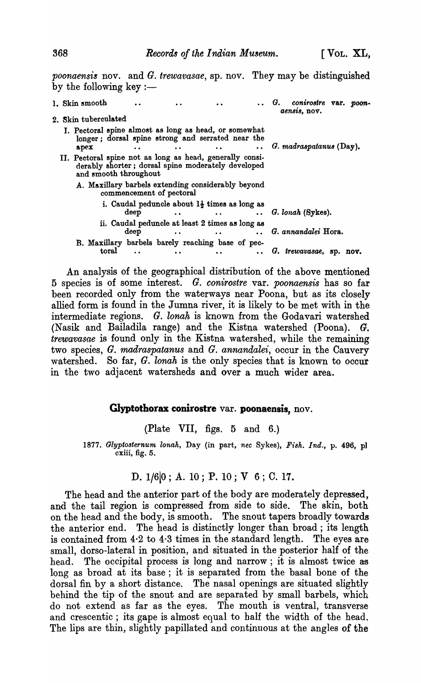*poonaensis* nov. and G. *trewavasae,* sp. nov. They may be distinguished by the following key  $:=$ 

| 1. Skin smooth                                                                                                                          |                                                                  |                            |                                                                     |  | G.<br>conirostre var. poon-<br>aensis, nov. |
|-----------------------------------------------------------------------------------------------------------------------------------------|------------------------------------------------------------------|----------------------------|---------------------------------------------------------------------|--|---------------------------------------------|
| 2. Skin tuberculated                                                                                                                    |                                                                  |                            |                                                                     |  |                                             |
| I. Pectoral spine almost as long as head, or somewhat<br>longer; dorsal spine strong and serrated near the<br>apex                      |                                                                  | $\bullet$                  |                                                                     |  | $G.$ madraspatanus (Day).                   |
| II. Pectoral spine not as long as head, generally consi-<br>derably shorter; dorsal spine moderately developed<br>and smooth throughout |                                                                  |                            |                                                                     |  |                                             |
| A. Maxillary barbels extending considerably beyond                                                                                      | commencement of pectoral                                         |                            |                                                                     |  |                                             |
|                                                                                                                                         | i. Caudal peduncle about $1\frac{1}{2}$ times as long as<br>deep | $\ldots$ G. lonah (Sykes). |                                                                     |  |                                             |
|                                                                                                                                         | deep                                                             | $\bullet\;\bullet$         | ii. Caudal peduncle at least 2 times as long as<br>$\bullet\bullet$ |  | G. annandalei Hora.                         |
| B. Maxillary barbels barely reaching base of pec-<br>toral                                                                              |                                                                  |                            | $\bullet$                                                           |  | G. trewavasae, sp. nov.                     |

An analysis of the geographical distribution of the above mentioned 5 species is of some interest. G. *conirostre* var. *poonaensis* has so far been recorded only from the waterways near Poona, but as its closely allied form is found in the Jumna river, it is likely to be met with in the intermediate regions. G. *lonak* is known from the Godavari watershed (Nasik and Bailadila range) and the Kistna watershed (Poona).  $G$ . *trewavasae* is found only in the Kistna watershed, while the remaining two species, G. *madraspatanus* and G. *annandalei,* occur in the Cauvery watershed. So far, G. *lonah* is the only species that is known to occur in the two adjacent watersheds and over a much wider area.

#### **G1yptothorax conirostre** var. **poonaensis,** nov.

(Plate VII, figs. 5 and 6.)

1877. Glyptosternum lonah, Day (in part, *nec* Sykes), Fish. Ind., p. 496, pl cxiii, fig. 5.

# D. 1/6 0; A. 10; P. 10; V 6; C. 17.

The head and the anterior part of the body are moderately depressed, and the tail region is compressed from side to side. The skin, both on the head and the body, is smooth. The snout tapers broadly towards the anterior end. The head is distinctly longer than broad; its length is contained from 4·2 to 4·3 times in the standard length. The eyes are small, dorso-Iateral in position, and situated in the posterior half of the head. The occipital process is long and narrow; it is almost twice as long as broad at its base; it is separated from the basal bone of the dorsal fin by a short distance. The nasal openings are situated slightly behind the tip of the snout and are separated by small barbels, which do not extend as far as the eyes. The mouth is ventral, transverse and crescentic; its gape is almost equal to half the width of the head. The lips are thin, slightly papillated and continuous at the angles of the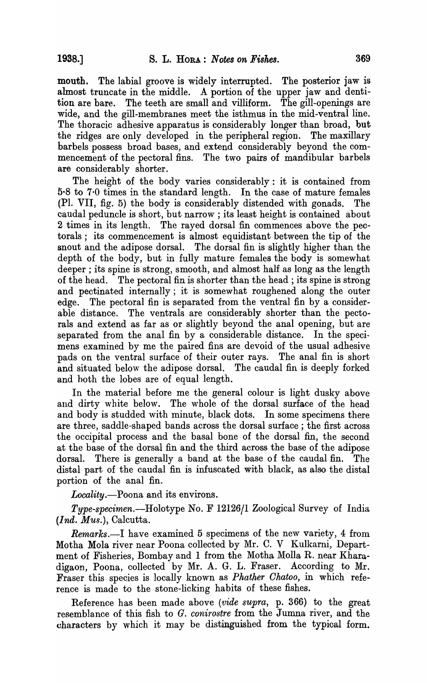mouth. The labial groove is widely interrupted. The posterior jaw is almost truncate in the middle. A portion of the upper jaw and dentition are bare. The teeth are small and villiform. The gill-openings are wide, and the gill-membranes meet the isthmus in the mid-ventral line. The thoracic adhesive apparatus is considerably longer than broad, but the ridges are only developed in the peripheral region. The maxillary barbels possess broad bases, and extend considerably beyond the commencement of the pectoral fins. The two pairs of mandibular barbels are considerably shorter.

The height of the body varies considerably: it is contained from 5·8 to 7·0 times in the standard length. In the case of mature females (PI. VII, fig. 5) the body is considerably distended with gonads. The caudal peduncle is short, but narrow; its least height is contained about 2 times in its length. The rayed dorsal fin commences above the pectorals; its commencement is almost equidistant between the tip of the snout and the adipose dorsal. The dorsal fin is slightly higher than the depth of the body, but in fully mature females the body is somewhat deeper; its spine is strong, smooth, and almost half as long as the length of the head. The pectoral fin is shorter than the head; its spine is strong and pectinated internally; it is somewhat roughened along the outer edge. The pectoral fin is separated from the ventral fin by a considerable distance. The ventrals are considerably shorter than the pectorals and extend as far as or slightly beyond the anal opening, but are separated from the anal fin by a considerable distance. In the specimens examined by me the paired fins are devoid of the usual adhesive pads on the ventral surface of their outer rays. The anal fin is short and situated below the adipose dorsal. The caudal fin is deeply forked and hoth the lobes are of equal length.

In the material before me the general colour is light dusky above and dirty white below. The whole of the dorsal surface of the head and body is studded with minute, black dots. In some specimens there are three, saddle-shaped bands across the dorsal surface; the first across the occipital process and the basal bone of the dorsal fin, the second at the base of the dorsal fin and the third across the base of the adipose dorsal. There is generally a band at the base of the caudal fin. The distal part of the caudal fin is infuscated with black, as also the distal portion of the anal fin.

*Locality.-Poona* and its environs.

*Type-specimen.-Holotype* No. F 12126/1 Zoological Survey of India *(Ind. Mus.),* Calcutta.

*Remarks.-I* have examined 5 specimens of the new variety, 4 from Motha Mola river near Poona collected by Mr. C. V Kulkarni, Department of Fisheries, Bombay and 1 from the Motha Molla R. near Kharadigaon, Poona, collected by Mr. A. G. L. Fraser. According to Mr. Fraser this species is locally known as *Phather Ohatoo,* in which reference is made to the stone-licking habits of these fishes.

Reference has been made above *(vide supra,* p. 366) to the great resemblance of this fish to *G. conirostre* from the Jumna river, and the characters by which it may be distinguished from the typical form.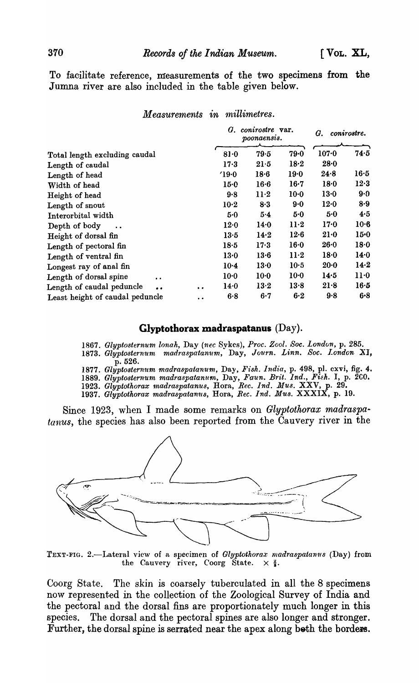To facilitate reference, measurements of the two specimens from the Jumna river are also included in the table given below.

 $Measurable$  *in millimetres.* 

|                                        | $G.$ conirostre var.<br>poonaensis. |                |        |        | conirostre.<br>G. |        |
|----------------------------------------|-------------------------------------|----------------|--------|--------|-------------------|--------|
| Total length excluding caudal          |                                     | 79.5<br>$81-0$ |        | 79.0   | $107 - 0$         | 74.5   |
| Length of caudal                       |                                     | $17-3$         | $21-5$ | 18.2   | $28 - 0$          |        |
| Length of head                         |                                     | 19.0           | $18-6$ | 19.0   | 24.8              | 16.5   |
| Width of head                          |                                     | $15-0$         | $16-6$ | $16-7$ | 18.0              | 12.3   |
| Height of head                         |                                     | 9.8            | $11-2$ | $10-0$ | 13.0              | 9.0    |
| Length of snout                        |                                     | $10-2$         | 8.3    | $9-0$  | 12.0              | 8.9    |
| Interorbital width                     |                                     | 5.0            | 5.4    | 5.0    | 5.0               | 4.5    |
| Depth of body                          |                                     | 12.0           | 14.0   | $11-2$ | 17.0              | $10-6$ |
| Height of dorsal fin                   |                                     | 13.5           | 14.2   | $12-6$ | $21-0$            | $15-0$ |
| Length of pectoral fin                 |                                     | 18.5           | 17.3   | 16·0   | 26.0              | 18.0   |
| Length of ventral fin                  |                                     | 13.0           | $13-6$ | $11-2$ | 18.0              | 14.0   |
| Longest ray of anal fin                |                                     | $10-4$         | 13.0   | 10.5   | $20-0$            | 14.2   |
| Length of dorsal spine<br>$\bullet$    |                                     | $10-0$         | $10-0$ | $10-0$ | 14.5              | $11-0$ |
| Length of caudal peduncle<br>$\bullet$ | $\bullet$                           | 14.0           | $13-2$ | 13.8   | 21.8              | 16·5   |
| Least height of caudal peduncle        | $\ddot{\phantom{0}}$                | 6.8            | 6.7    | $6-2$  | 9.8               | 6.8    |

## **Glyptothorax madraspatanus** (Day).

*1867. Glyptosternum lonah,* Day *(nee* Sykes), *Proc. Zool. Soc. London,* p. 285.

1873. Glyptosternum madraspatanum, Day, Journ. Linn. Soc. London XI, p. 526.

*1877. Glyptostern'ltm madraspatanum,* Day, *F'ish. India,* p. 498, pI. cxvi, fig. 4.

1889. Glyptosternum madraspatanum, Day, Faun. Brit. Ind., Fish. I, p. 200.

*1923. Glyptothorax madraspatanus,* Bora, *Rec. Ind. JJlus.* XXV, p. 29. 1937. Glyptothorax madraspatanus, Hora, Rec. Ind. Mus. XXXIX, p. 19.

Since 1923, when I made some remarks on *Glyptothorax madraspatanus,* the species has also been reported from the Cauvery river in the



TEXT-FIG. 2.-Lateral view of a specimen of *Glyptothorax madraspatanus* (Day) from the Cauvery river, Coorg State.  $\times \frac{2}{3}$ .

Coorg State. The skin is coarsely tuberculated in all the 8 specimens now represented in the collection of the Zoological Survey of India and the pectoral and the dorsal fins are proportionately much longer in this species. The dorsal and the pectoral spines are also longer and stronger. Further, the dorsal spine is serrated near the apex along both the borders.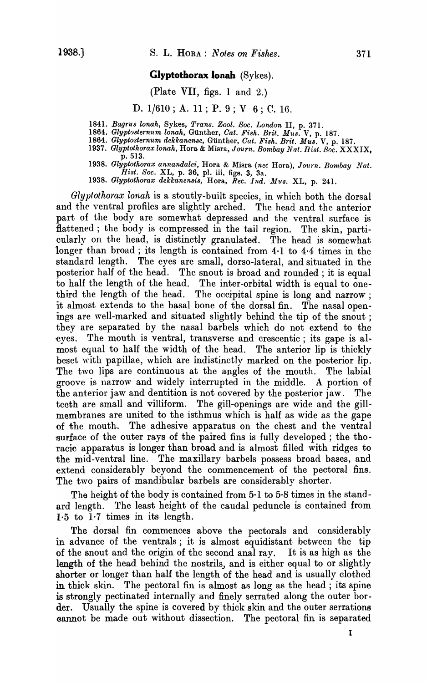#### **Glyptothorax lonah** (Sykes).

#### (Plate VII, figs. 1 and 2.)

D. 1/610; A. 11; P. 9; V 6; C. 16.

1841. *Bagrus lonah,* Sykes, *Trans. Zool. Soc. London* II, p. 371.

- 1864. *Glyptosternum lonah,* Gunther, *Oat. Fish. Brit. Mus.* V, p. 187.
- 1864. *Glyptosternum dekkanense*, Günther, *Cat. Fish. Brit. Mus.* V, p. 187.
- *1937. Glyptothorax lonah,* Hora & Misra, *Journ. Bombay Nat. Rist. Soc.* XXXIX, p.513.

*1938. Glyptothorax annandale?:,* Hora & Misra *(nee* Hora), *Journ. Bombay Nat,*   $Hist.$  Soc. XL, p. 36, pl. iii, figs. 3,  $3a$ .

1938. *Glyptothorax dekkanensis*, *Hora, Rec. Ind. Mus. XL, p. 241.* 

*Glyptothorax lonah* is a stoutly-built species, in which both the dorsal and the ventral profiles are slightly arched. The head and the anterior part of the body are somewhat depressed and the ventral surface is flattened; the body is compressed in the tail region. The skin, particularly on the head, is distinctly granulated. The head is somewhat longer than broad; its length is contained from 4·1 to 4·4 times in the standard length. The eyes are small, dorso-lateral, and situated in the posterior half of the head. The snout is broad and rounded; it is equal to half the length of the head. The inter-orbital width is equal to onethird the length of the head. The occipital spine is long and narrow; it almost extends to the basal bone of the dorsal fin. The nasalopenings are well-marked and situated slightly behind the tip of the snout; they are separated by the nasal barbels which do not extend to the eyes. The mouth is ventral, transverse and crescentic; its gape is almost equal to half the width of the head. The anterior lip is thickly beset with papillae, which are indistinctly marked on the posterior lip. The two lips are continuous at the angles of the mouth. The labial groove is narrow and widely interrupted in the middle. A portion of the anterior jaw and dentition is not covered by the posterior jaw. The teeth are small and villiform. The gill-openings are wide and the gillmembranes are united to the isthmus which is half as wide as the gape of the mouth. The adhesive apparatus on the chest and the ventral surface of the outer rays of the paired fins is fully developed; the thoracic apparatus is longer than broad and is almost filled with ridges to the mid-ventral line. The maxillary barbels possess broad bases, and extend considerably beyond the commencement of the pectoral fins. The two pairs of mandibular barbels are considerably shorter.

The height of the body is contained from 5·1 to 5·8 times in the standard length. The least height of the caudal peduncle is contained from 1·5 to 1·7 times in its length.

The dorsal fin commences above the pectorals and considerably in advance of the ventrals; it is almost equidistant between the tip of the snout and the origin of the second anal ray. It is as high as the length of the head behind the nostrils, and is either equal to or slightly shorter or longer than half the length of the head and is usually clothed in thick skin. The pectoral fin is almost as long as the head; its spine is strongly pectinated internally and finely serrated along the outer border. Usually the spine is covered by thick skin and the outer serrations oannot be made out without dissection. The pectoral fin is separated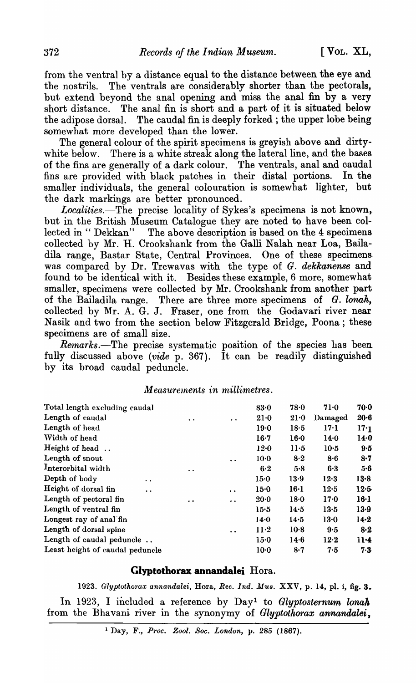from the ventral by a distance equal to the distance between the eye and the nostrils. The ventrals are considerably shorter than the pectorals, but extend beyond the anal opening and miss the anal fin by a very short distance. The anal fin is short and a part of it is situated below the adipose dorsal. The caudal fin is deeply forked; the upper lobe being somewhat more developed than the lower.

The general colour of the spirit specimens is greyish above and dirtywhite below. There is a white streak along the lateral line, and the bases of the fins are generally of a dark colour. The ventrals, anal and caudal fins are provided with black patches in their distal portions. In the smaller individuals, the general colouration is somewhat lighter, but the dark markings are better pronounced.

Localities.-The precise locality of Sykes's specimens is not known, but in the British Museum Catalogue they are noted to have been collected in " Dekkan" The above description is based on the 4 specimens collected by Mr. H. Crookshank from the Galli Nalah near Loa, Bailadila range, Bastar State, Central Provinces. One of these specimens was compared by Dr. Trewavas with the type of G. *dekkanense* and found to be identical with it. Besides these example, 6 more, somewhat smaller, specimens were collected by Mr. Crookshank from another part of the Bailadila range. There are three more specimens of *G. lonah,*  collected by Mr. A. G. J. Fraser, one from the Godavari river near Nasik and two from the section below Fitzgerald Bridge, Poona; these specimens are of small size.

*Remarks*.—The precise systematic position of the species has been fully discussed above *(vide* p. 367). It can be readily distinguished by its broad caudal peduncle.

#### $Measurable in millimetres.$

| Total length excluding caudal                |                      |                      | 83.0     | 78.0            | $71-0$          | 70.0     |
|----------------------------------------------|----------------------|----------------------|----------|-----------------|-----------------|----------|
| Length of caudal                             | $\ddot{\phantom{a}}$ | $\ddot{\phantom{a}}$ | $21-0$   | $21-0$          | Damaged         | $20-6$   |
| Length of head                               |                      |                      | $19-0$   | 18.5            | 17·1            | 17.1     |
| Width of head                                |                      |                      | $16-7$   | $16-0$          | $14-0$          | 14.0     |
| Height of head                               |                      |                      | $12 - 0$ | $11-5$          | $10-5$          | 9.5      |
| Length of snout                              |                      | $\ddot{\phantom{0}}$ | $10-0$   | 8.2             | 8.6             | $8-7$    |
| Interorbital width                           | $\ddot{\phantom{a}}$ |                      | 6·2      | 5.8             | 6.3             | 5.6      |
| Depth of body<br>$\bullet$                   |                      |                      | 15.0     | 13.9            | 12.3            | $13-8$   |
| Height of dorsal fin<br>$\ddot{\phantom{0}}$ |                      | $\ddot{\phantom{a}}$ | 15.0     | 16·1            | 12.5            | 12.5     |
| Length of pectoral fin                       | $\cdot$ $\cdot$      | $\ddot{\phantom{0}}$ | 20.0     | 18 <sub>0</sub> | 17 <sub>0</sub> | 16·1     |
| Length of ventral fin                        |                      |                      | 15.5     | 14.5            | 13.5            | $13-9$   |
| Longest ray of anal fin                      |                      |                      | 14.0     | 14.5            | 13.0            | $14 - 2$ |
| Length of dorsal spine                       |                      | $\bullet$            | $11-2$   | $10-8$          | 9.5             | $8-2$    |
| Length of caudal peduncle                    |                      | 15 <sub>0</sub>      | $14-6$   | 12.2            | $11-4$          |          |
| Least height of caudal peduncle              |                      |                      | $10-0$   | $8 - 7$         | 7.5             | 7.3      |

#### **Glyptotborax annandalei** Hora.

1923. Glyptothorax annandalei, Hora, *Rec. Ind. Mus. XXV*, p. 14, pl. i, fig. 3. In 1923, I included a reference by Day<sup>1</sup> to *Glyptosternum lonah* from the Bhavani river in the synonymy of *Glyptotkorax annandalei,* 

1 Day, F., *Proc. Zool. Soc. London,* p. 285 (1867).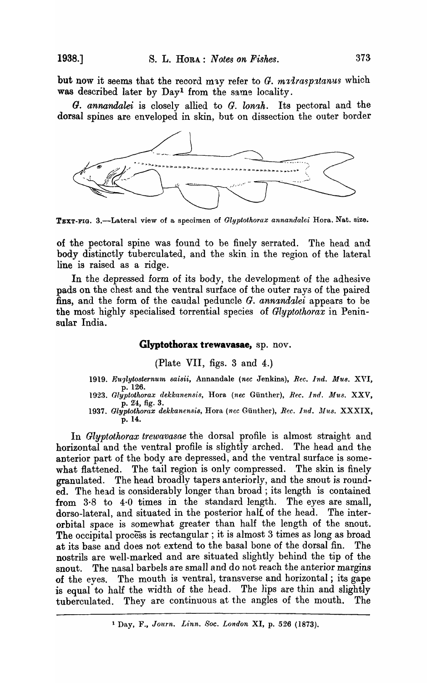but now it seems that the record may refer to  $G.$  malraspatanus which was described later by Day<sup>1</sup> from the same locality.

*G. annandalei* is closely allied to *G. longh*. Its pectoral and the dorsal spines are enveloped in skin, but on dissection the outer border



TEXT-FIG. 3.--Lateral view of a specimen of *Glyptothorax annandalei* Hora. Nat. size.

of the pectoral spine was found to be finely serrated. The head and body distinctly tuberculated, and the skin. in the region of the lateral line is raised as a ridge.

In the depressed form of its body, the development of the adhesive pads on the chest and the ventral surface of the outer rays of the paired fins, and the form of the caudal peduncle G. *annandalei* appears to be the most highly specialised torrential species of *Glyptothorax* in Peninsular India.

#### Glyptothorax trewavasae, sp. nov.

(Plate VII, figs. 3 and 4.)

- *1919. EU.'Jlytosternu'In saisii,* Annandale *(nee* Jenkins), *Ree. Ind. Mus.* XVI, p.126.
- 1923. Glyptothorax dekkanensis, Hora (nec Günther), *Rec. Ind. Mus. XXV*, p. 24, fig. 3.
- 1937. Glyptothorax dekkanensis, Hora (nec Günther), *Rec. Ind. Mus.* XXXIX, p. 14.

In *Glyptothorax trewavasae* the dorsal profile is almost straight and horizontal and the ventral profile is slightly arched. The head and the anterior part of the body are depressed, and the ventral surface is somewhat flattened. The tail region is only compressed. The skin is finely granulated. The head broadly tapers anteriorly, and the snout is rounded. The head is considerably longer than broad ; its length is contained from 3·8 to 4·0 times in the standard length. The eyes are small, dorso-lateral, and situated in the posterior half of the head. The interorbital space is somewhat greater than half the length of the snout. The occipital process is rectangular; it is almost 3 times as long as broad at its base and does not extend to the basal bone of the dorsal fin. The nostrils are well-marked and are situated slightly behind the tip of the snout. The nasal barbels are small and do not reach the anterior margins of the eyes. The mouth is ventral, transverse and horizontal; its gape is equal to half the width of the head. The lips are thin and slightly tuberculated. They are continuous at the angles of the mouth. The

<sup>&</sup>lt;sup>1</sup> Day, F., *Journ. Linn. Soc. London XI*, p. 526 (1873).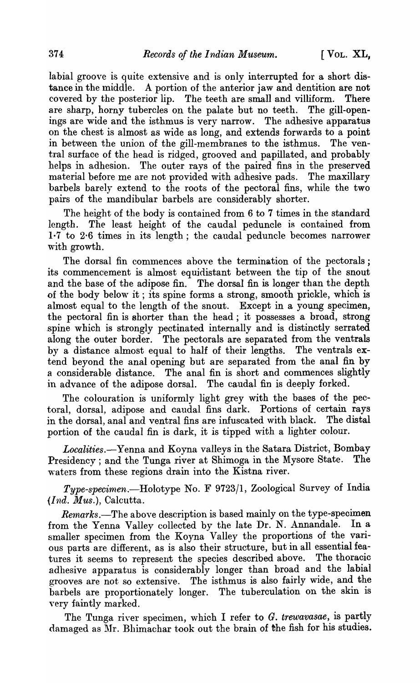labial groove is quite extensive and is only interrupted for a short distance in the middle. A portion of the anterior jaw and dentition are not covered by the posterior lip. The teeth are small and villiform. There are sharp, horny tubercles on the palate but no teeth. The gill-openings are wide and the isthmus is very narrow. The adhesive apparatus on the chest is almost as wide as long, and extends forwards to a point in between the union of the gill-membranes to the isthmus. The ventral surface of the head is ridged, grooved and papillated, and probably helps in adhesion. The outer rays of the paired fins in the preserved material before me are not provided with adhesive pads. The maxillary barbels barely extend to the roots of the pectoral fins, while the two pairs of the mandibular barbels are considerably shorter.

The height of the body is contained from 6 to 7 times in the standard length. The least height of the caudal peduncle is contained from 1·7 to 2·6 times in its length; the caudal peduncle becomes narrower with growth.

The dorsal fin commences above the termination of the pectorals; its commencement is almost equidistant between the tip of the snout and the base of the adipose fin. The dorsal fin is longer than the depth of the body below it ; its spine forms a strong, smooth prickle, which is almost equal to the length of the snout. Except in a young specimen, the pectoral fin is shorter than the head; it possesses a broad, strong .spine which is strongly pectinated internally and is distinctly serrated along the outer border. The pectorals are separated from the ventrals by a distance almost equal to half of their lengths. The ventrals extend beyond the anal opening but are separated from the anal fin by a considerable distance. The anal fin is short and commences slightly in advance of the adipose dorsal. The caudal fin is deeply forked.

The colouration is uniformly light grey with the bases of the pectoral, dorsal, adipose and caudal fins dark. Portions of certain rays in the dorsal, anal and ventral fins are infuscated with black. portion of the caudal fin is dark, it is tipped with a lighter colour.

*Localities.-Yenna* and Koyna valleys in the Satara District, Bombay Presidency; and the Tunga river at Shimoga in the Mysore State. The waters from these regions drain into the Kistna river.

*Type-specimen.-Holotype* No. F 9723/1, Zoological Survey of India *(Ind. Mus.),* Calcutta.

*Remarks.-The* above description is based mainly on the type-specimen from the Yenna Valley collected by the late Dr. N. Annandale. In a smaller specimen from the Koyna Valley the proportions of the various parts are different, as is also their structure, but in all essential fea-<br>tures it seems to represent the species described above. The thoracic tures it seems to represent the species described above. adhesive apparatus is considerably longer than broad and the labial grooves are not so extensive. The isthmus is also fairly wide, and the barbels are proportionately longer. The tuberculation on the skin is very faintly marked.

The Tunga river specimen, \vhich I refer to *G. trewavasae,* is partly damaged as Mr. Bhimachar took out the brain of the fish for his studies.